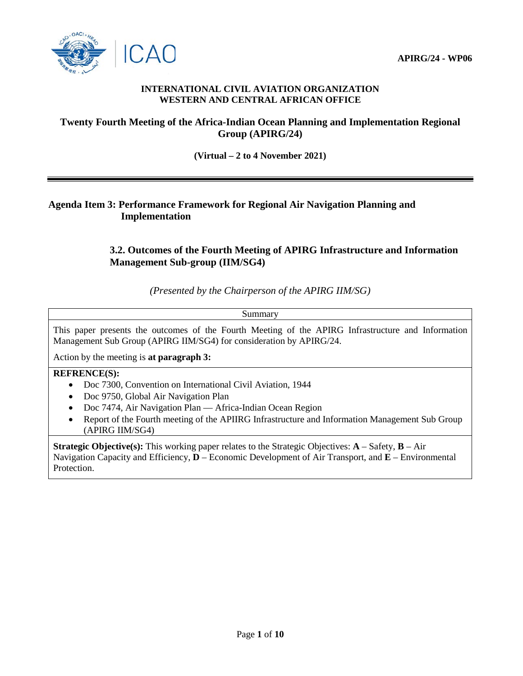

### **INTERNATIONAL CIVIL AVIATION ORGANIZATION WESTERN AND CENTRAL AFRICAN OFFICE**

# **Twenty Fourth Meeting of the Africa-Indian Ocean Planning and Implementation Regional Group (APIRG/24)**

**(Virtual – 2 to 4 November 2021)**

# **Agenda Item 3: Performance Framework for Regional Air Navigation Planning and Implementation**

# **3.2. Outcomes of the Fourth Meeting of APIRG Infrastructure and Information Management Sub-group (IIM/SG4)**

*(Presented by the Chairperson of the APIRG IIM/SG)*

Summary

This paper presents the outcomes of the Fourth Meeting of the APIRG Infrastructure and Information Management Sub Group (APIRG IIM/SG4) for consideration by APIRG/24.

Action by the meeting is **at paragraph 3:**

### **REFRENCE(S):**

- Doc 7300, Convention on International Civil Aviation, 1944
- Doc 9750, Global Air Navigation Plan
- Doc 7474, Air Navigation Plan Africa-Indian Ocean Region
- Report of the Fourth meeting of the APIIRG Infrastructure and Information Management Sub Group (APIRG IIM/SG4)

**Strategic Objective(s):** This working paper relates to the Strategic Objectives: **A** – Safety, **B** – Air Navigation Capacity and Efficiency, **D** – Economic Development of Air Transport, and **E** – Environmental Protection.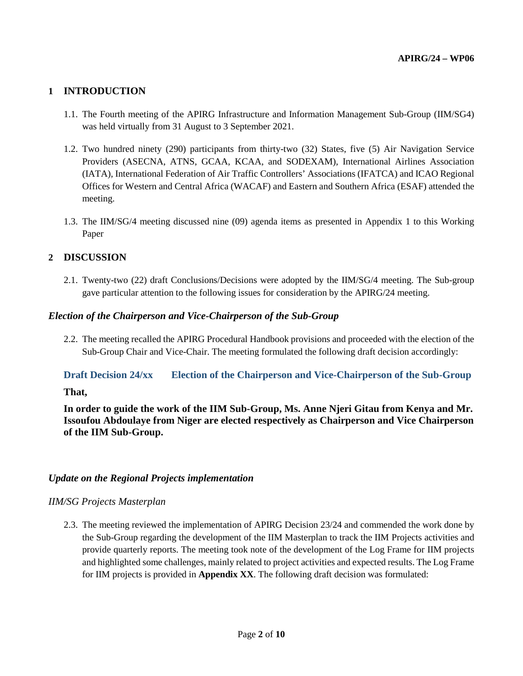## **1 INTRODUCTION**

- 1.1. The Fourth meeting of the APIRG Infrastructure and Information Management Sub-Group (IIM/SG4) was held virtually from 31 August to 3 September 2021.
- 1.2. Two hundred ninety (290) participants from thirty-two (32) States, five (5) Air Navigation Service Providers (ASECNA, ATNS, GCAA, KCAA, and SODEXAM), International Airlines Association (IATA), International Federation of Air Traffic Controllers' Associations (IFATCA) and ICAO Regional Offices for Western and Central Africa (WACAF) and Eastern and Southern Africa (ESAF) attended the meeting.
- 1.3. The IIM/SG/4 meeting discussed nine (09) agenda items as presented in Appendix 1 to this Working Paper

### **2 DISCUSSION**

2.1. Twenty-two (22) draft Conclusions/Decisions were adopted by the IIM/SG/4 meeting. The Sub-group gave particular attention to the following issues for consideration by the APIRG/24 meeting.

### *Election of the Chairperson and Vice-Chairperson of the Sub-Group*

2.2. The meeting recalled the APIRG Procedural Handbook provisions and proceeded with the election of the Sub-Group Chair and Vice-Chair. The meeting formulated the following draft decision accordingly:

# **Draft Decision 24/xx Election of the Chairperson and Vice-Chairperson of the Sub-Group**

#### **That,**

**In order to guide the work of the IIM Sub-Group, Ms. Anne Njeri Gitau from Kenya and Mr. Issoufou Abdoulaye from Niger are elected respectively as Chairperson and Vice Chairperson of the IIM Sub-Group.**

### *Update on the Regional Projects implementation*

### *IIM/SG Projects Masterplan*

2.3. The meeting reviewed the implementation of APIRG Decision 23/24 and commended the work done by the Sub-Group regarding the development of the IIM Masterplan to track the IIM Projects activities and provide quarterly reports. The meeting took note of the development of the Log Frame for IIM projects and highlighted some challenges, mainly related to project activities and expected results. The Log Frame for IIM projects is provided in **Appendix XX**. The following draft decision was formulated: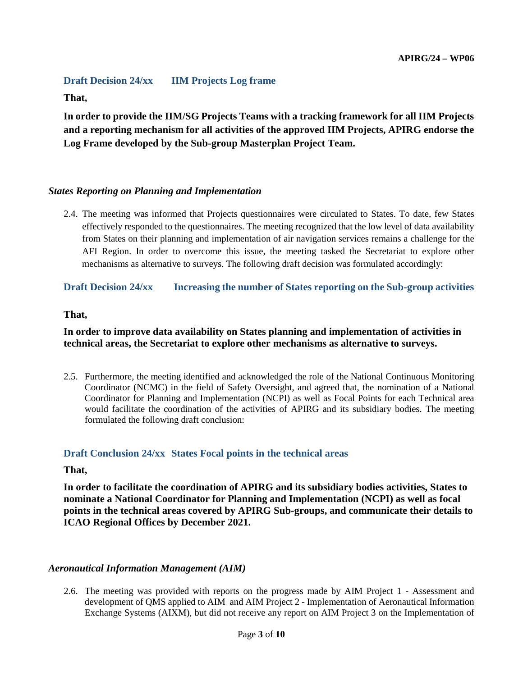# **Draft Decision 24/xx IIM Projects Log frame**

### **That,**

**In order to provide the IIM/SG Projects Teams with a tracking framework for all IIM Projects and a reporting mechanism for all activities of the approved IIM Projects, APIRG endorse the Log Frame developed by the Sub-group Masterplan Project Team.** 

## *States Reporting on Planning and Implementation*

2.4. The meeting was informed that Projects questionnaires were circulated to States. To date, few States effectively responded to the questionnaires. The meeting recognized that the low level of data availability from States on their planning and implementation of air navigation services remains a challenge for the AFI Region. In order to overcome this issue, the meeting tasked the Secretariat to explore other mechanisms as alternative to surveys. The following draft decision was formulated accordingly:

# **Draft Decision 24/xx Increasing the number of States reporting on the Sub-group activities**

### **That,**

# **In order to improve data availability on States planning and implementation of activities in technical areas, the Secretariat to explore other mechanisms as alternative to surveys.**

2.5. Furthermore, the meeting identified and acknowledged the role of the National Continuous Monitoring Coordinator (NCMC) in the field of Safety Oversight, and agreed that, the nomination of a National Coordinator for Planning and Implementation (NCPI) as well as Focal Points for each Technical area would facilitate the coordination of the activities of APIRG and its subsidiary bodies. The meeting formulated the following draft conclusion:

### **Draft Conclusion 24/xx States Focal points in the technical areas**

### **That,**

**In order to facilitate the coordination of APIRG and its subsidiary bodies activities, States to nominate a National Coordinator for Planning and Implementation (NCPI) as well as focal points in the technical areas covered by APIRG Sub-groups, and communicate their details to ICAO Regional Offices by December 2021.**

### *Aeronautical Information Management (AIM)*

2.6. The meeting was provided with reports on the progress made by AIM Project 1 - Assessment and development of QMS applied to AIM and AIM Project 2 - Implementation of Aeronautical Information Exchange Systems (AIXM), but did not receive any report on AIM Project 3 on the Implementation of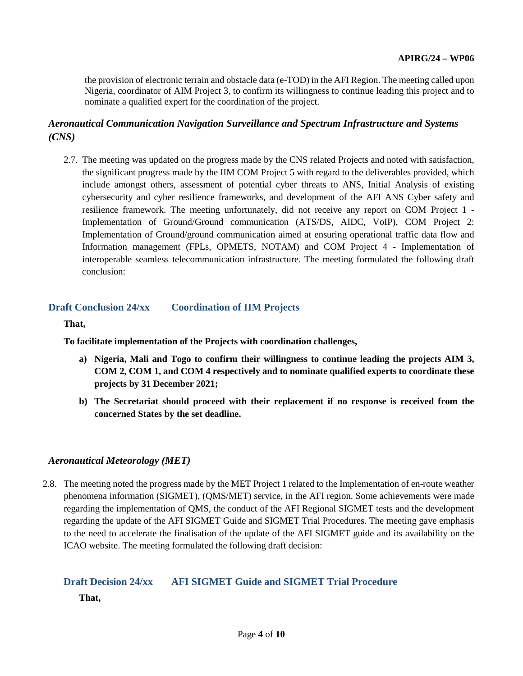the provision of electronic terrain and obstacle data (e-TOD) in the AFI Region. The meeting called upon Nigeria, coordinator of AIM Project 3, to confirm its willingness to continue leading this project and to nominate a qualified expert for the coordination of the project.

# *Aeronautical Communication Navigation Surveillance and Spectrum Infrastructure and Systems (CNS)*

2.7. The meeting was updated on the progress made by the CNS related Projects and noted with satisfaction, the significant progress made by the IIM COM Project 5 with regard to the deliverables provided, which include amongst others, assessment of potential cyber threats to ANS, Initial Analysis of existing cybersecurity and cyber resilience frameworks, and development of the AFI ANS Cyber safety and resilience framework. The meeting unfortunately, did not receive any report on COM Project 1 - Implementation of Ground/Ground communication (ATS/DS, AIDC, VoIP), COM Project 2: Implementation of Ground/ground communication aimed at ensuring operational traffic data flow and Information management (FPLs, OPMETS, NOTAM) and COM Project 4 - Implementation of interoperable seamless telecommunication infrastructure. The meeting formulated the following draft conclusion:

### **Draft Conclusion 24/xx Coordination of IIM Projects**

**That,**

**To facilitate implementation of the Projects with coordination challenges,** 

- **a) Nigeria, Mali and Togo to confirm their willingness to continue leading the projects AIM 3, COM 2, COM 1, and COM 4 respectively and to nominate qualified experts to coordinate these projects by 31 December 2021;**
- **b) The Secretariat should proceed with their replacement if no response is received from the concerned States by the set deadline.**

#### *Aeronautical Meteorology (MET)*

2.8. The meeting noted the progress made by the MET Project 1 related to the Implementation of en-route weather phenomena information (SIGMET), (QMS/MET) service, in the AFI region. Some achievements were made regarding the implementation of QMS, the conduct of the AFI Regional SIGMET tests and the development regarding the update of the AFI SIGMET Guide and SIGMET Trial Procedures. The meeting gave emphasis to the need to accelerate the finalisation of the update of the AFI SIGMET guide and its availability on the ICAO website. The meeting formulated the following draft decision:

# **Draft Decision 24/xx AFI SIGMET Guide and SIGMET Trial Procedure**

**That,**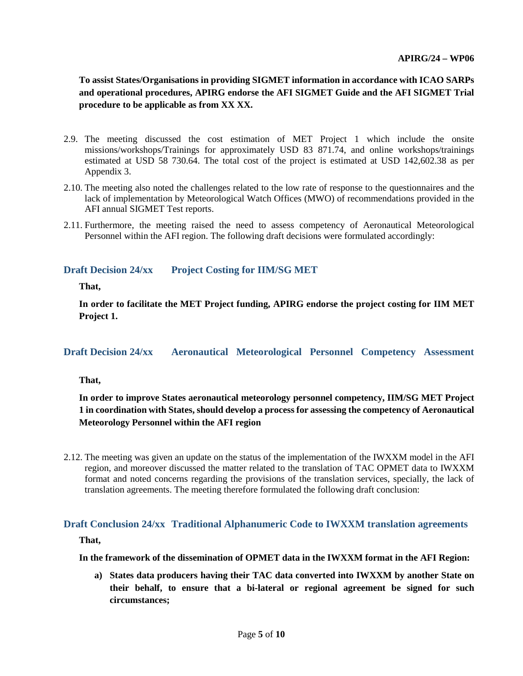**To assist States/Organisations in providing SIGMET information in accordance with ICAO SARPs and operational procedures, APIRG endorse the AFI SIGMET Guide and the AFI SIGMET Trial procedure to be applicable as from XX XX.**

- 2.9. The meeting discussed the cost estimation of MET Project 1 which include the onsite missions/workshops/Trainings for approximately USD 83 871.74, and online workshops/trainings estimated at USD 58 730.64. The total cost of the project is estimated at USD 142,602.38 as per Appendix 3.
- 2.10. The meeting also noted the challenges related to the low rate of response to the questionnaires and the lack of implementation by Meteorological Watch Offices (MWO) of recommendations provided in the AFI annual SIGMET Test reports.
- 2.11. Furthermore, the meeting raised the need to assess competency of Aeronautical Meteorological Personnel within the AFI region. The following draft decisions were formulated accordingly:

### **Draft Decision 24/xx Project Costing for IIM/SG MET**

**That,** 

**In order to facilitate the MET Project funding, APIRG endorse the project costing for IIM MET Project 1.**

### **Draft Decision 24/xx Aeronautical Meteorological Personnel Competency Assessment**

**That,** 

**In order to improve States aeronautical meteorology personnel competency, IIM/SG MET Project 1 in coordination with States, should develop a process for assessing the competency of Aeronautical Meteorology Personnel within the AFI region**

2.12. The meeting was given an update on the status of the implementation of the IWXXM model in the AFI region, and moreover discussed the matter related to the translation of TAC OPMET data to IWXXM format and noted concerns regarding the provisions of the translation services, specially, the lack of translation agreements. The meeting therefore formulated the following draft conclusion:

### **Draft Conclusion 24/xx Traditional Alphanumeric Code to IWXXM translation agreements**

**That,** 

#### **In the framework of the dissemination of OPMET data in the IWXXM format in the AFI Region:**

**a) States data producers having their TAC data converted into IWXXM by another State on their behalf, to ensure that a bi-lateral or regional agreement be signed for such circumstances;**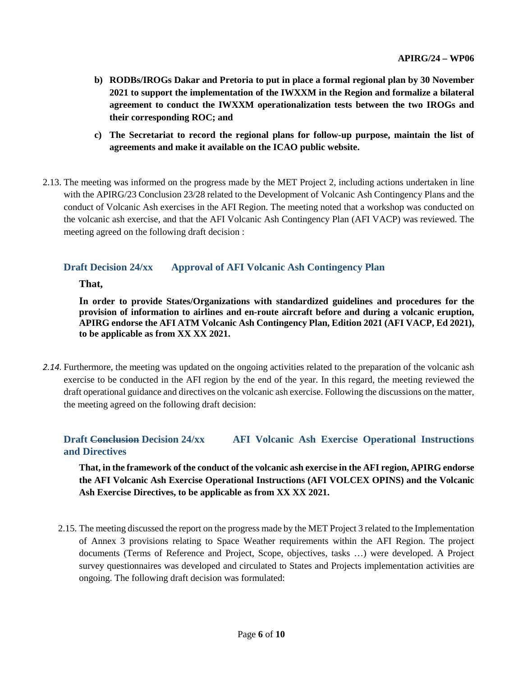- **b) RODBs/IROGs Dakar and Pretoria to put in place a formal regional plan by 30 November 2021 to support the implementation of the IWXXM in the Region and formalize a bilateral agreement to conduct the IWXXM operationalization tests between the two IROGs and their corresponding ROC; and**
- **c) The Secretariat to record the regional plans for follow-up purpose, maintain the list of agreements and make it available on the ICAO public website.**
- 2.13. The meeting was informed on the progress made by the MET Project 2, including actions undertaken in line with the APIRG/23 Conclusion 23/28 related to the Development of Volcanic Ash Contingency Plans and the conduct of Volcanic Ash exercises in the AFI Region. The meeting noted that a workshop was conducted on the volcanic ash exercise, and that the AFI Volcanic Ash Contingency Plan (AFI VACP) was reviewed. The meeting agreed on the following draft decision :

## **Draft Decision 24/xx Approval of AFI Volcanic Ash Contingency Plan**

**That,** 

**In order to provide States/Organizations with standardized guidelines and procedures for the provision of information to airlines and en-route aircraft before and during a volcanic eruption, APIRG endorse the AFI ATM Volcanic Ash Contingency Plan, Edition 2021 (AFI VACP, Ed 2021), to be applicable as from XX XX 2021.**

*2.14.* Furthermore, the meeting was updated on the ongoing activities related to the preparation of the volcanic ash exercise to be conducted in the AFI region by the end of the year. In this regard, the meeting reviewed the draft operational guidance and directives on the volcanic ash exercise. Following the discussions on the matter, the meeting agreed on the following draft decision:

## **Draft Conclusion Decision 24/xx AFI Volcanic Ash Exercise Operational Instructions and Directives**

**That, in the framework of the conduct of the volcanic ash exercise in the AFI region, APIRG endorse the AFI Volcanic Ash Exercise Operational Instructions (AFI VOLCEX OPINS) and the Volcanic Ash Exercise Directives, to be applicable as from XX XX 2021.**

2.15. The meeting discussed the report on the progress made by the MET Project 3 related to the Implementation of Annex 3 provisions relating to Space Weather requirements within the AFI Region. The project documents (Terms of Reference and Project, Scope, objectives, tasks …) were developed. A Project survey questionnaires was developed and circulated to States and Projects implementation activities are ongoing. The following draft decision was formulated: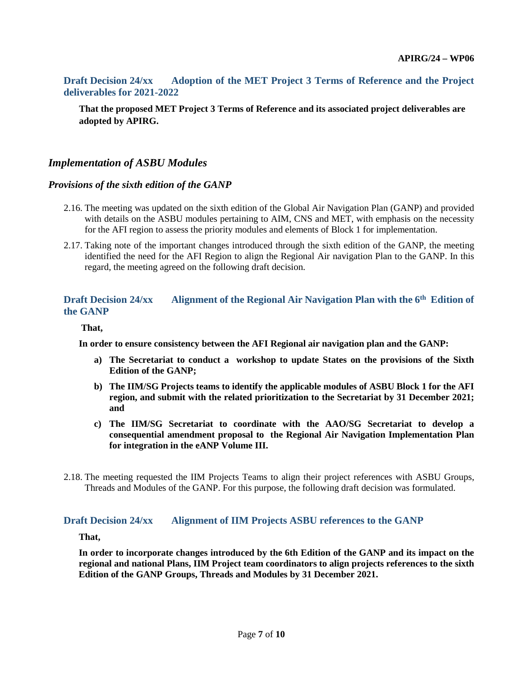## **Draft Decision 24/xx Adoption of the MET Project 3 Terms of Reference and the Project deliverables for 2021-2022**

**That the proposed MET Project 3 Terms of Reference and its associated project deliverables are adopted by APIRG.**

## *Implementation of ASBU Modules*

#### *Provisions of the sixth edition of the GANP*

- 2.16. The meeting was updated on the sixth edition of the Global Air Navigation Plan (GANP) and provided with details on the ASBU modules pertaining to AIM, CNS and MET, with emphasis on the necessity for the AFI region to assess the priority modules and elements of Block 1 for implementation.
- 2.17. Taking note of the important changes introduced through the sixth edition of the GANP, the meeting identified the need for the AFI Region to align the Regional Air navigation Plan to the GANP. In this regard, the meeting agreed on the following draft decision.

### **Draft Decision 24/xx Alignment of the Regional Air Navigation Plan with the 6<sup>th</sup> Edition of the GANP**

#### **That,**

**In order to ensure consistency between the AFI Regional air navigation plan and the GANP:**

- **a) The Secretariat to conduct a workshop to update States on the provisions of the Sixth Edition of the GANP;**
- **b) The IIM/SG Projects teams to identify the applicable modules of ASBU Block 1 for the AFI region, and submit with the related prioritization to the Secretariat by 31 December 2021; and**
- **c) The IIM/SG Secretariat to coordinate with the AAO/SG Secretariat to develop a consequential amendment proposal to the Regional Air Navigation Implementation Plan for integration in the eANP Volume III.**
- 2.18. The meeting requested the IIM Projects Teams to align their project references with ASBU Groups, Threads and Modules of the GANP. For this purpose, the following draft decision was formulated.

#### **Draft Decision 24/xx Alignment of IIM Projects ASBU references to the GANP**

### **That,**

**In order to incorporate changes introduced by the 6th Edition of the GANP and its impact on the regional and national Plans, IIM Project team coordinators to align projects references to the sixth Edition of the GANP Groups, Threads and Modules by 31 December 2021.**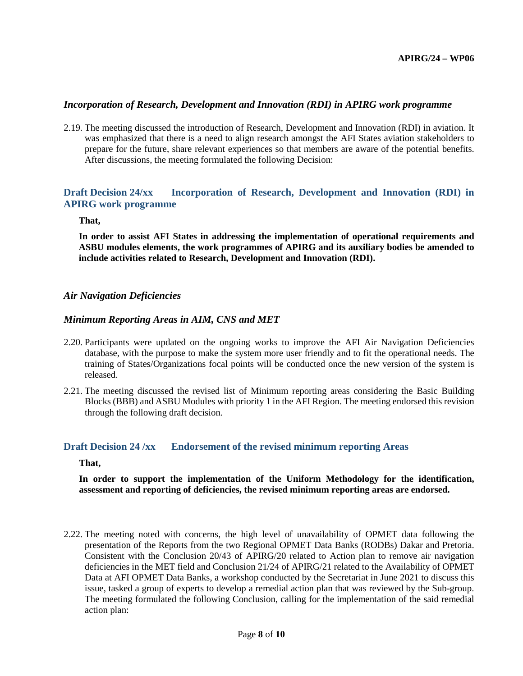#### *Incorporation of Research, Development and Innovation (RDI) in APIRG work programme*

2.19. The meeting discussed the introduction of Research, Development and Innovation (RDI) in aviation. It was emphasized that there is a need to align research amongst the AFI States aviation stakeholders to prepare for the future, share relevant experiences so that members are aware of the potential benefits. After discussions, the meeting formulated the following Decision:

## **Draft Decision 24/xx Incorporation of Research, Development and Innovation (RDI) in APIRG work programme**

**That,**

**In order to assist AFI States in addressing the implementation of operational requirements and ASBU modules elements, the work programmes of APIRG and its auxiliary bodies be amended to include activities related to Research, Development and Innovation (RDI).**

#### *Air Navigation Deficiencies*

#### *Minimum Reporting Areas in AIM, CNS and MET*

- 2.20. Participants were updated on the ongoing works to improve the AFI Air Navigation Deficiencies database, with the purpose to make the system more user friendly and to fit the operational needs. The training of States/Organizations focal points will be conducted once the new version of the system is released.
- 2.21. The meeting discussed the revised list of Minimum reporting areas considering the Basic Building Blocks (BBB) and ASBU Modules with priority 1 in the AFI Region. The meeting endorsed this revision through the following draft decision.

#### **Draft Decision 24 /xx Endorsement of the revised minimum reporting Areas**

**That,**

**In order to support the implementation of the Uniform Methodology for the identification, assessment and reporting of deficiencies, the revised minimum reporting areas are endorsed.**

2.22. The meeting noted with concerns, the high level of unavailability of OPMET data following the presentation of the Reports from the two Regional OPMET Data Banks (RODBs) Dakar and Pretoria. Consistent with the Conclusion 20/43 of APIRG/20 related to Action plan to remove air navigation deficiencies in the MET field and Conclusion 21/24 of APIRG/21 related to the Availability of OPMET Data at AFI OPMET Data Banks, a workshop conducted by the Secretariat in June 2021 to discuss this issue, tasked a group of experts to develop a remedial action plan that was reviewed by the Sub-group. The meeting formulated the following Conclusion, calling for the implementation of the said remedial action plan: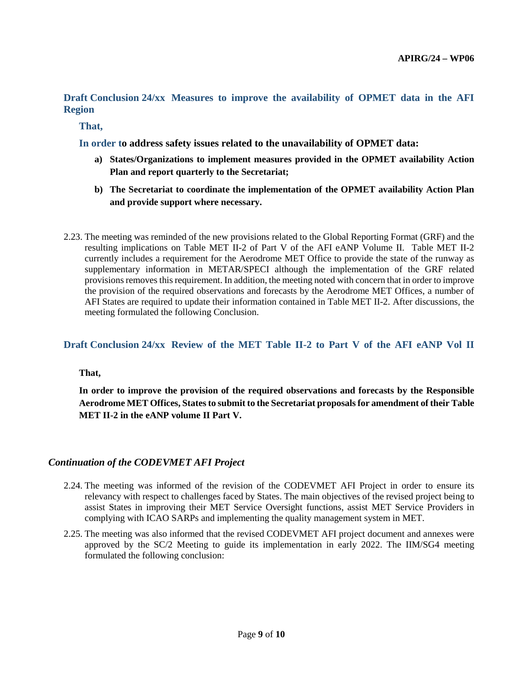**Draft Conclusion 24/xx Measures to improve the availability of OPMET data in the AFI Region**

**That,**

**In order to address safety issues related to the unavailability of OPMET data:**

- **a) States/Organizations to implement measures provided in the OPMET availability Action Plan and report quarterly to the Secretariat;**
- **b) The Secretariat to coordinate the implementation of the OPMET availability Action Plan and provide support where necessary.**
- 2.23. The meeting was reminded of the new provisions related to the Global Reporting Format (GRF) and the resulting implications on Table MET II-2 of Part V of the AFI eANP Volume II. Table MET II-2 currently includes a requirement for the Aerodrome MET Office to provide the state of the runway as supplementary information in METAR/SPECI although the implementation of the GRF related provisions removes this requirement. In addition, the meeting noted with concern that in order to improve the provision of the required observations and forecasts by the Aerodrome MET Offices, a number of AFI States are required to update their information contained in Table MET II-2. After discussions, the meeting formulated the following Conclusion.

### **Draft Conclusion 24/xx Review of the MET Table II-2 to Part V of the AFI eANP Vol II**

**That,**

**In order to improve the provision of the required observations and forecasts by the Responsible Aerodrome MET Offices, States to submit to the Secretariat proposals for amendment of their Table MET II-2 in the eANP volume II Part V.**

#### *Continuation of the CODEVMET AFI Project*

- 2.24. The meeting was informed of the revision of the CODEVMET AFI Project in order to ensure its relevancy with respect to challenges faced by States. The main objectives of the revised project being to assist States in improving their MET Service Oversight functions, assist MET Service Providers in complying with ICAO SARPs and implementing the quality management system in MET.
- 2.25. The meeting was also informed that the revised CODEVMET AFI project document and annexes were approved by the SC/2 Meeting to guide its implementation in early 2022. The IIM/SG4 meeting formulated the following conclusion: